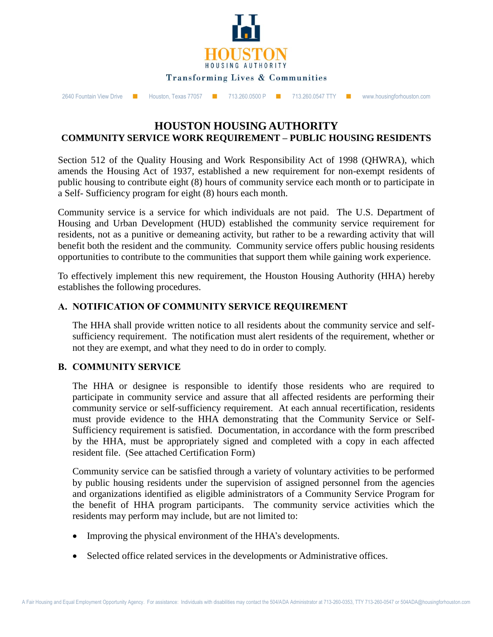

2640 Fountain View Drive ■ Houston, Texas 77057 ■ 713.260.0500 P ■ 713.260.0547 TTY ■ www.housingforhouston.com

# **HOUSTON HOUSING AUTHORITY COMMUNITY SERVICE WORK REQUIREMENT – PUBLIC HOUSING RESIDENTS**

Section 512 of the Quality Housing and Work Responsibility Act of 1998 (QHWRA), which amends the Housing Act of 1937, established a new requirement for non-exempt residents of public housing to contribute eight (8) hours of community service each month or to participate in a Self- Sufficiency program for eight (8) hours each month.

Community service is a service for which individuals are not paid. The U.S. Department of Housing and Urban Development (HUD) established the community service requirement for residents, not as a punitive or demeaning activity, but rather to be a rewarding activity that will benefit both the resident and the community. Community service offers public housing residents opportunities to contribute to the communities that support them while gaining work experience.

To effectively implement this new requirement, the Houston Housing Authority (HHA) hereby establishes the following procedures.

#### **A. NOTIFICATION OF COMMUNITY SERVICE REQUIREMENT**

The HHA shall provide written notice to all residents about the community service and selfsufficiency requirement. The notification must alert residents of the requirement, whether or not they are exempt, and what they need to do in order to comply.

#### **B. COMMUNITY SERVICE**

The HHA or designee is responsible to identify those residents who are required to participate in community service and assure that all affected residents are performing their community service or self-sufficiency requirement. At each annual recertification, residents must provide evidence to the HHA demonstrating that the Community Service or Self-Sufficiency requirement is satisfied. Documentation, in accordance with the form prescribed by the HHA, must be appropriately signed and completed with a copy in each affected resident file. (See attached Certification Form)

Community service can be satisfied through a variety of voluntary activities to be performed by public housing residents under the supervision of assigned personnel from the agencies and organizations identified as eligible administrators of a Community Service Program for the benefit of HHA program participants. The community service activities which the residents may perform may include, but are not limited to:

- Improving the physical environment of the HHA's developments.
- Selected office related services in the developments or Administrative offices.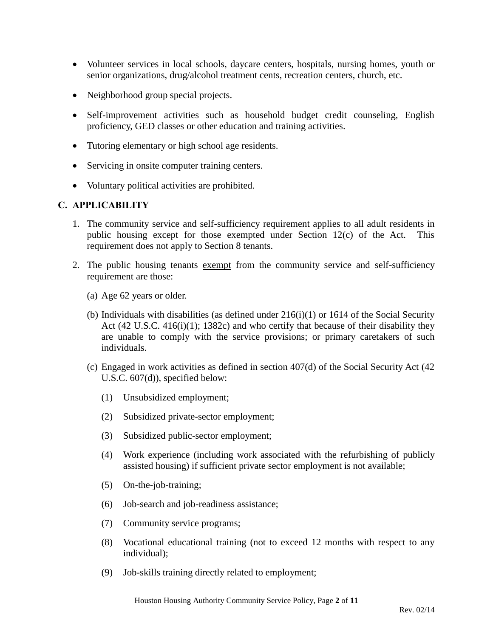- Volunteer services in local schools, daycare centers, hospitals, nursing homes, youth or senior organizations, drug/alcohol treatment cents, recreation centers, church, etc.
- Neighborhood group special projects.
- Self-improvement activities such as household budget credit counseling, English proficiency, GED classes or other education and training activities.
- Tutoring elementary or high school age residents.
- Servicing in onsite computer training centers.
- Voluntary political activities are prohibited.

#### **C. APPLICABILITY**

- 1. The community service and self-sufficiency requirement applies to all adult residents in public housing except for those exempted under Section 12(c) of the Act. This requirement does not apply to Section 8 tenants.
- 2. The public housing tenants exempt from the community service and self-sufficiency requirement are those:
	- (a) Age 62 years or older.
	- (b) Individuals with disabilities (as defined under  $216(i)(1)$  or 1614 of the Social Security Act (42 U.S.C. 416(i)(1); 1382c) and who certify that because of their disability they are unable to comply with the service provisions; or primary caretakers of such individuals.
	- (c) Engaged in work activities as defined in section 407(d) of the Social Security Act (42 U.S.C. 607(d)), specified below:
		- (1) Unsubsidized employment;
		- (2) Subsidized private-sector employment;
		- (3) Subsidized public-sector employment;
		- (4) Work experience (including work associated with the refurbishing of publicly assisted housing) if sufficient private sector employment is not available;
		- (5) On-the-job-training;
		- (6) Job-search and job-readiness assistance;
		- (7) Community service programs;
		- (8) Vocational educational training (not to exceed 12 months with respect to any individual);
		- (9) Job-skills training directly related to employment;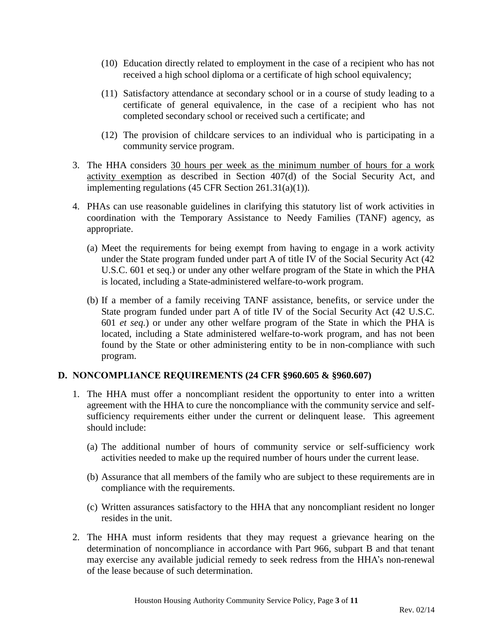- (10) Education directly related to employment in the case of a recipient who has not received a high school diploma or a certificate of high school equivalency;
- (11) Satisfactory attendance at secondary school or in a course of study leading to a certificate of general equivalence, in the case of a recipient who has not completed secondary school or received such a certificate; and
- (12) The provision of childcare services to an individual who is participating in a community service program.
- 3. The HHA considers 30 hours per week as the minimum number of hours for a work activity exemption as described in Section 407(d) of the Social Security Act, and implementing regulations (45 CFR Section 261.31(a)(1)).
- 4. PHAs can use reasonable guidelines in clarifying this statutory list of work activities in coordination with the Temporary Assistance to Needy Families (TANF) agency, as appropriate.
	- (a) Meet the requirements for being exempt from having to engage in a work activity under the State program funded under part A of title IV of the Social Security Act (42 U.S.C. 601 et seq.) or under any other welfare program of the State in which the PHA is located, including a State-administered welfare-to-work program.
	- (b) If a member of a family receiving TANF assistance, benefits, or service under the State program funded under part A of title IV of the Social Security Act (42 U.S.C. 601 *et seq.*) or under any other welfare program of the State in which the PHA is located, including a State administered welfare-to-work program, and has not been found by the State or other administering entity to be in non-compliance with such program.

# **D. NONCOMPLIANCE REQUIREMENTS (24 CFR §960.605 & §960.607)**

- 1. The HHA must offer a noncompliant resident the opportunity to enter into a written agreement with the HHA to cure the noncompliance with the community service and selfsufficiency requirements either under the current or delinquent lease. This agreement should include:
	- (a) The additional number of hours of community service or self-sufficiency work activities needed to make up the required number of hours under the current lease.
	- (b) Assurance that all members of the family who are subject to these requirements are in compliance with the requirements.
	- (c) Written assurances satisfactory to the HHA that any noncompliant resident no longer resides in the unit.
- 2. The HHA must inform residents that they may request a grievance hearing on the determination of noncompliance in accordance with Part 966, subpart B and that tenant may exercise any available judicial remedy to seek redress from the HHA's non-renewal of the lease because of such determination.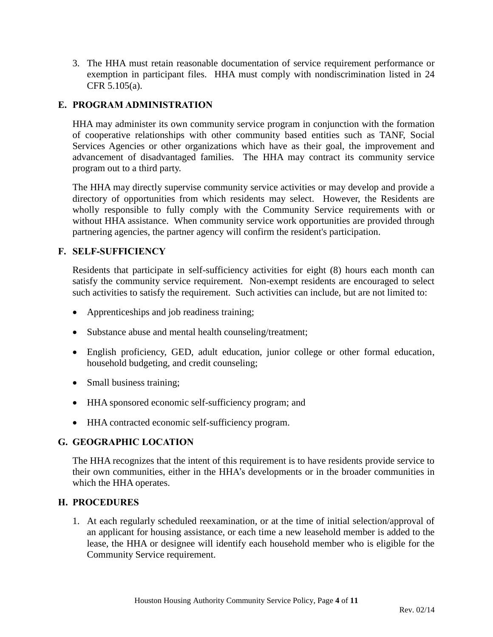3. The HHA must retain reasonable documentation of service requirement performance or exemption in participant files. HHA must comply with nondiscrimination listed in 24 CFR 5.105(a).

## **E. PROGRAM ADMINISTRATION**

HHA may administer its own community service program in conjunction with the formation of cooperative relationships with other community based entities such as TANF, Social Services Agencies or other organizations which have as their goal, the improvement and advancement of disadvantaged families. The HHA may contract its community service program out to a third party.

The HHA may directly supervise community service activities or may develop and provide a directory of opportunities from which residents may select. However, the Residents are wholly responsible to fully comply with the Community Service requirements with or without HHA assistance. When community service work opportunities are provided through partnering agencies, the partner agency will confirm the resident's participation.

#### **F. SELF-SUFFICIENCY**

Residents that participate in self-sufficiency activities for eight (8) hours each month can satisfy the community service requirement. Non-exempt residents are encouraged to select such activities to satisfy the requirement. Such activities can include, but are not limited to:

- Apprenticeships and job readiness training;
- Substance abuse and mental health counseling/treatment;
- English proficiency, GED, adult education, junior college or other formal education, household budgeting, and credit counseling;
- Small business training;
- HHA sponsored economic self-sufficiency program; and
- HHA contracted economic self-sufficiency program.

# **G. GEOGRAPHIC LOCATION**

The HHA recognizes that the intent of this requirement is to have residents provide service to their own communities, either in the HHA's developments or in the broader communities in which the HHA operates.

#### **H. PROCEDURES**

1. At each regularly scheduled reexamination, or at the time of initial selection/approval of an applicant for housing assistance, or each time a new leasehold member is added to the lease, the HHA or designee will identify each household member who is eligible for the Community Service requirement.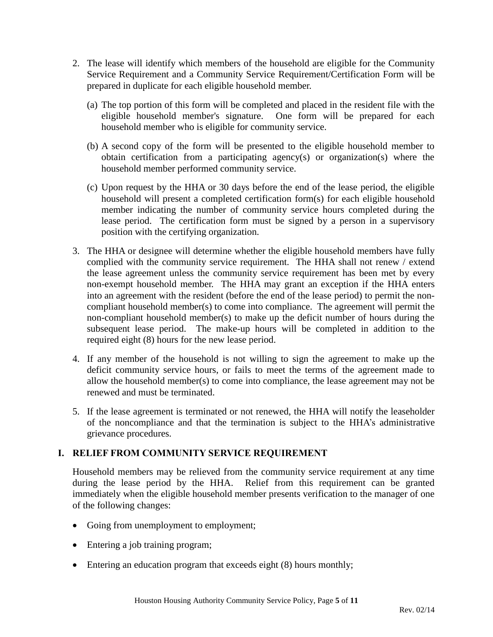- 2. The lease will identify which members of the household are eligible for the Community Service Requirement and a Community Service Requirement/Certification Form will be prepared in duplicate for each eligible household member.
	- (a) The top portion of this form will be completed and placed in the resident file with the eligible household member's signature. One form will be prepared for each household member who is eligible for community service.
	- (b) A second copy of the form will be presented to the eligible household member to obtain certification from a participating agency(s) or organization(s) where the household member performed community service.
	- (c) Upon request by the HHA or 30 days before the end of the lease period, the eligible household will present a completed certification form(s) for each eligible household member indicating the number of community service hours completed during the lease period. The certification form must be signed by a person in a supervisory position with the certifying organization.
- 3. The HHA or designee will determine whether the eligible household members have fully complied with the community service requirement. The HHA shall not renew / extend the lease agreement unless the community service requirement has been met by every non-exempt household member. The HHA may grant an exception if the HHA enters into an agreement with the resident (before the end of the lease period) to permit the noncompliant household member(s) to come into compliance. The agreement will permit the non-compliant household member(s) to make up the deficit number of hours during the subsequent lease period. The make-up hours will be completed in addition to the required eight (8) hours for the new lease period.
- 4. If any member of the household is not willing to sign the agreement to make up the deficit community service hours, or fails to meet the terms of the agreement made to allow the household member(s) to come into compliance, the lease agreement may not be renewed and must be terminated.
- 5. If the lease agreement is terminated or not renewed, the HHA will notify the leaseholder of the noncompliance and that the termination is subject to the HHA's administrative grievance procedures.

# **I. RELIEF FROM COMMUNITY SERVICE REQUIREMENT**

Household members may be relieved from the community service requirement at any time during the lease period by the HHA. Relief from this requirement can be granted immediately when the eligible household member presents verification to the manager of one of the following changes:

- Going from unemployment to employment;
- Entering a job training program;
- Entering an education program that exceeds eight (8) hours monthly;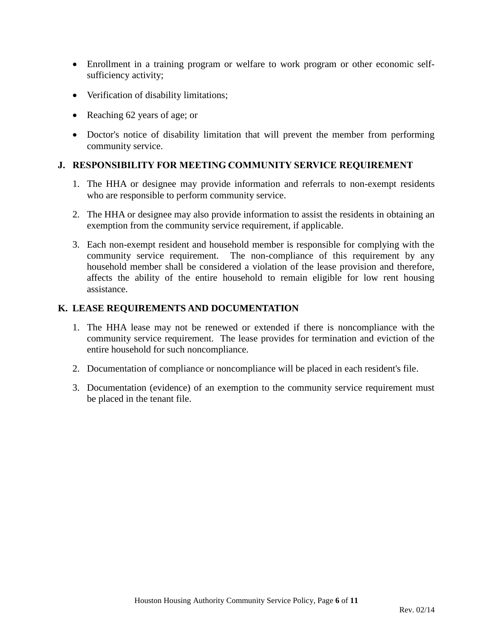- Enrollment in a training program or welfare to work program or other economic selfsufficiency activity;
- Verification of disability limitations;
- Reaching 62 years of age; or
- Doctor's notice of disability limitation that will prevent the member from performing community service.

#### **J. RESPONSIBILITY FOR MEETING COMMUNITY SERVICE REQUIREMENT**

- 1. The HHA or designee may provide information and referrals to non-exempt residents who are responsible to perform community service.
- 2. The HHA or designee may also provide information to assist the residents in obtaining an exemption from the community service requirement, if applicable.
- 3. Each non-exempt resident and household member is responsible for complying with the community service requirement. The non-compliance of this requirement by any household member shall be considered a violation of the lease provision and therefore, affects the ability of the entire household to remain eligible for low rent housing assistance.

#### **K. LEASE REQUIREMENTS AND DOCUMENTATION**

- 1. The HHA lease may not be renewed or extended if there is noncompliance with the community service requirement. The lease provides for termination and eviction of the entire household for such noncompliance.
- 2. Documentation of compliance or noncompliance will be placed in each resident's file.
- 3. Documentation (evidence) of an exemption to the community service requirement must be placed in the tenant file.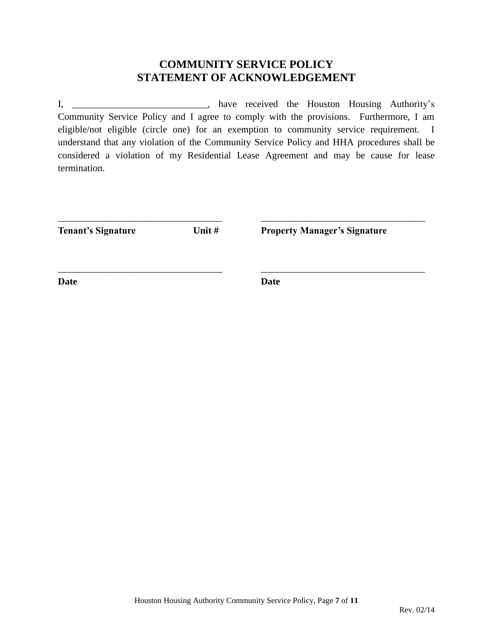# **COMMUNITY SERVICE POLICY STATEMENT OF ACKNOWLEDGEMENT**

I, \_\_\_\_\_\_\_\_\_\_\_\_\_\_\_\_\_\_\_\_\_\_\_\_\_\_\_\_, have received the Houston Housing Authority's Community Service Policy and I agree to comply with the provisions. Furthermore, I am eligible/not eligible (circle one) for an exemption to community service requirement. I understand that any violation of the Community Service Policy and HHA procedures shall be considered a violation of my Residential Lease Agreement and may be cause for lease termination.

| <b>Tenant's Signature</b> | Unit $#$ | <b>Property Manager's Signature</b> |
|---------------------------|----------|-------------------------------------|
|                           |          |                                     |
| Date                      |          | <b>Date</b>                         |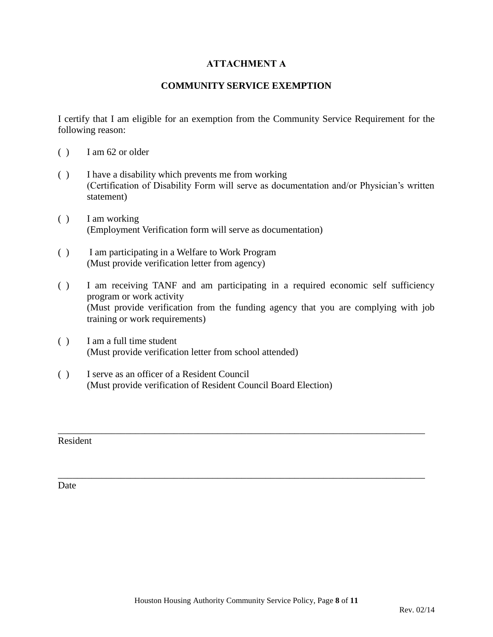# **ATTACHMENT A**

## **COMMUNITY SERVICE EXEMPTION**

I certify that I am eligible for an exemption from the Community Service Requirement for the following reason:

- ( ) I am 62 or older
- ( ) I have a disability which prevents me from working (Certification of Disability Form will serve as documentation and/or Physician's written statement)
- ( ) I am working (Employment Verification form will serve as documentation)
- ( ) I am participating in a Welfare to Work Program (Must provide verification letter from agency)
- ( ) I am receiving TANF and am participating in a required economic self sufficiency program or work activity (Must provide verification from the funding agency that you are complying with job training or work requirements)

\_\_\_\_\_\_\_\_\_\_\_\_\_\_\_\_\_\_\_\_\_\_\_\_\_\_\_\_\_\_\_\_\_\_\_\_\_\_\_\_\_\_\_\_\_\_\_\_\_\_\_\_\_\_\_\_\_\_\_\_\_\_\_\_\_\_\_\_\_\_\_\_\_\_\_\_

\_\_\_\_\_\_\_\_\_\_\_\_\_\_\_\_\_\_\_\_\_\_\_\_\_\_\_\_\_\_\_\_\_\_\_\_\_\_\_\_\_\_\_\_\_\_\_\_\_\_\_\_\_\_\_\_\_\_\_\_\_\_\_\_\_\_\_\_\_\_\_\_\_\_\_\_

- ( ) I am a full time student (Must provide verification letter from school attended)
- ( ) I serve as an officer of a Resident Council (Must provide verification of Resident Council Board Election)

Resident

Date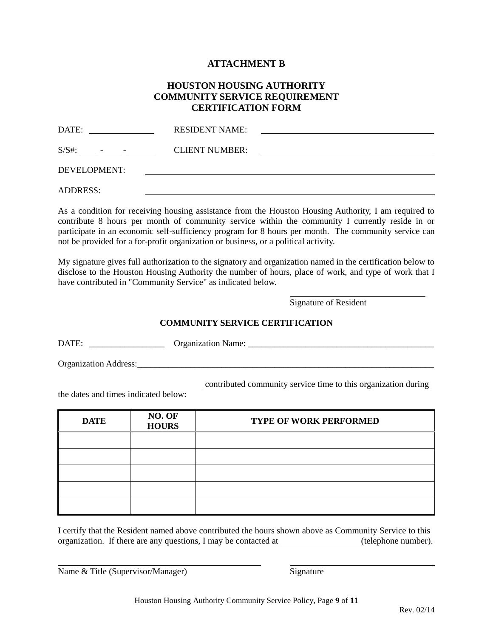#### **ATTACHMENT B**

#### **HOUSTON HOUSING AUTHORITY COMMUNITY SERVICE REQUIREMENT CERTIFICATION FORM**

| DATE:           | <b>RESIDENT NAME:</b> |                                                       |
|-----------------|-----------------------|-------------------------------------------------------|
|                 | <b>CLIENT NUMBER:</b> | <u> 1980 - Jan Stein Berlin, amerikansk politik (</u> |
| DEVELOPMENT:    |                       |                                                       |
| <b>ADDRESS:</b> |                       |                                                       |

As a condition for receiving housing assistance from the Houston Housing Authority, I am required to contribute 8 hours per month of community service within the community I currently reside in or participate in an economic self-sufficiency program for 8 hours per month. The community service can not be provided for a for-profit organization or business, or a political activity.

My signature gives full authorization to the signatory and organization named in the certification below to disclose to the Houston Housing Authority the number of hours, place of work, and type of work that I have contributed in "Community Service" as indicated below.

Signature of Resident

l

#### **COMMUNITY SERVICE CERTIFICATION**

DATE: \_\_\_\_\_\_\_\_\_\_\_\_\_\_\_\_\_ Organization Name: \_\_\_\_\_\_\_\_\_\_\_\_\_\_\_\_\_\_\_\_\_\_\_\_\_\_\_\_\_\_\_\_\_\_\_\_\_\_\_\_\_\_

Organization Address:\_\_\_\_\_\_\_\_\_\_\_\_\_\_\_\_\_\_\_\_\_\_\_\_\_\_\_\_\_\_\_\_\_\_\_\_\_\_\_\_\_\_\_\_\_\_\_\_\_\_\_\_\_\_\_\_\_\_\_\_\_\_\_\_\_\_\_

contributed community service time to this organization during

the dates and times indicated below:

| <b>DATE</b> | NO. OF<br><b>HOURS</b> | <b>TYPE OF WORK PERFORMED</b> |  |
|-------------|------------------------|-------------------------------|--|
|             |                        |                               |  |
|             |                        |                               |  |
|             |                        |                               |  |
|             |                        |                               |  |
|             |                        |                               |  |

I certify that the Resident named above contributed the hours shown above as Community Service to this organization. If there are any questions, I may be contacted at (telephone number).

Name & Title (Supervisor/Manager) Signature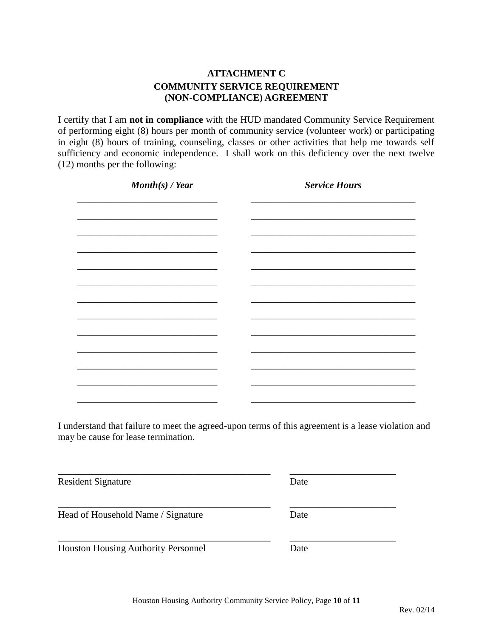# **ATTACHMENT C COMMUNITY SERVICE REQUIREMENT (NON-COMPLIANCE) AGREEMENT**

I certify that I am **not in compliance** with the HUD mandated Community Service Requirement of performing eight (8) hours per month of community service (volunteer work) or participating in eight (8) hours of training, counseling, classes or other activities that help me towards self sufficiency and economic independence. I shall work on this deficiency over the next twelve (12) months per the following:

| $\textit{Month}(s)$ / Year | <b>Service Hours</b> |
|----------------------------|----------------------|
|                            |                      |
|                            |                      |
|                            |                      |
|                            |                      |
|                            |                      |
|                            |                      |
|                            |                      |
|                            |                      |
|                            |                      |
|                            |                      |
|                            |                      |
|                            |                      |
|                            |                      |

I understand that failure to meet the agreed-upon terms of this agreement is a lease violation and may be cause for lease termination.

\_\_\_\_\_\_\_\_\_\_\_\_\_\_\_\_\_\_\_\_\_\_\_\_\_\_\_\_\_\_\_\_\_\_\_\_\_\_\_\_\_\_\_\_ \_\_\_\_\_\_\_\_\_\_\_\_\_\_\_\_\_\_\_\_\_\_

\_\_\_\_\_\_\_\_\_\_\_\_\_\_\_\_\_\_\_\_\_\_\_\_\_\_\_\_\_\_\_\_\_\_\_\_\_\_\_\_\_\_\_\_ \_\_\_\_\_\_\_\_\_\_\_\_\_\_\_\_\_\_\_\_\_\_

Resident Signature Date

Head of Household Name / Signature Date

Houston Housing Authority Personnel Date

\_\_\_\_\_\_\_\_\_\_\_\_\_\_\_\_\_\_\_\_\_\_\_\_\_\_\_\_\_\_\_\_\_\_\_\_\_\_\_\_\_\_\_\_ \_\_\_\_\_\_\_\_\_\_\_\_\_\_\_\_\_\_\_\_\_\_